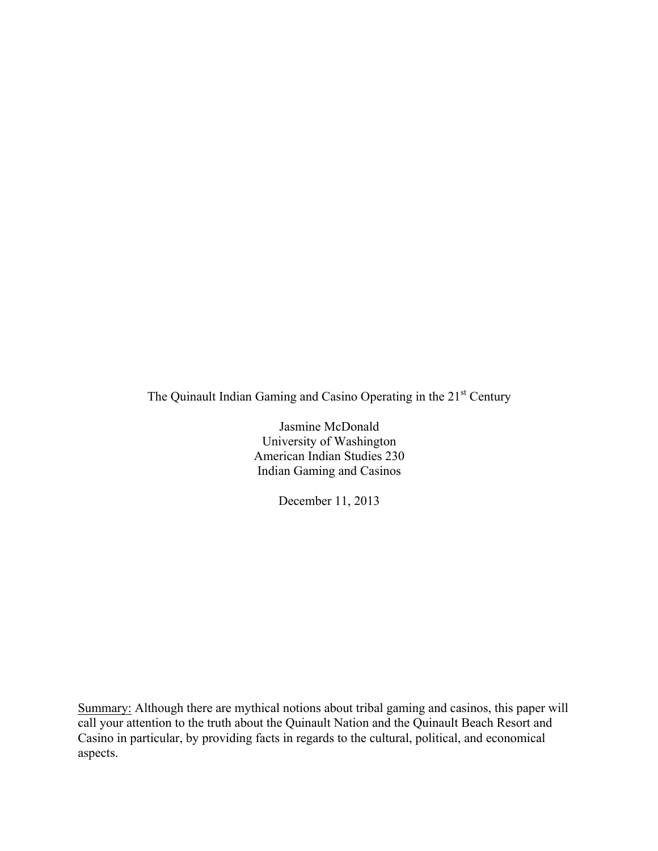The Quinault Indian Gaming and Casino Operating in the 21<sup>st</sup> Century

Jasmine McDonald University of Washington American Indian Studies 230 Indian Gaming and Casinos

December 11, 2013

Summary: Although there are mythical notions about tribal gaming and casinos, this paper will call your attention to the truth about the Quinault Nation and the Quinault Beach Resort and Casino in particular, by providing facts in regards to the cultural, political, and economical aspects.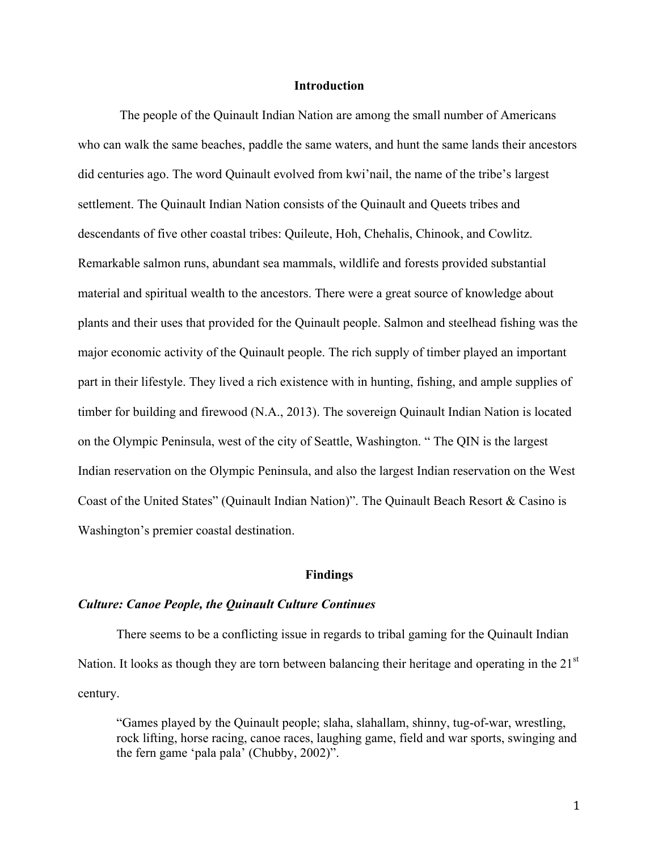# **Introduction**

The people of the Quinault Indian Nation are among the small number of Americans who can walk the same beaches, paddle the same waters, and hunt the same lands their ancestors did centuries ago. The word Quinault evolved from kwi'nail, the name of the tribe's largest settlement. The Quinault Indian Nation consists of the Quinault and Queets tribes and descendants of five other coastal tribes: Quileute, Hoh, Chehalis, Chinook, and Cowlitz. Remarkable salmon runs, abundant sea mammals, wildlife and forests provided substantial material and spiritual wealth to the ancestors. There were a great source of knowledge about plants and their uses that provided for the Quinault people. Salmon and steelhead fishing was the major economic activity of the Quinault people. The rich supply of timber played an important part in their lifestyle. They lived a rich existence with in hunting, fishing, and ample supplies of timber for building and firewood (N.A., 2013). The sovereign Quinault Indian Nation is located on the Olympic Peninsula, west of the city of Seattle, Washington. " The QIN is the largest Indian reservation on the Olympic Peninsula, and also the largest Indian reservation on the West Coast of the United States" (Quinault Indian Nation)". The Quinault Beach Resort & Casino is Washington's premier coastal destination.

### **Findings**

#### *Culture: Canoe People, the Quinault Culture Continues*

There seems to be a conflicting issue in regards to tribal gaming for the Quinault Indian Nation. It looks as though they are torn between balancing their heritage and operating in the 21<sup>st</sup> century.

"Games played by the Quinault people; slaha, slahallam, shinny, tug-of-war, wrestling, rock lifting, horse racing, canoe races, laughing game, field and war sports, swinging and the fern game 'pala pala' (Chubby, 2002)".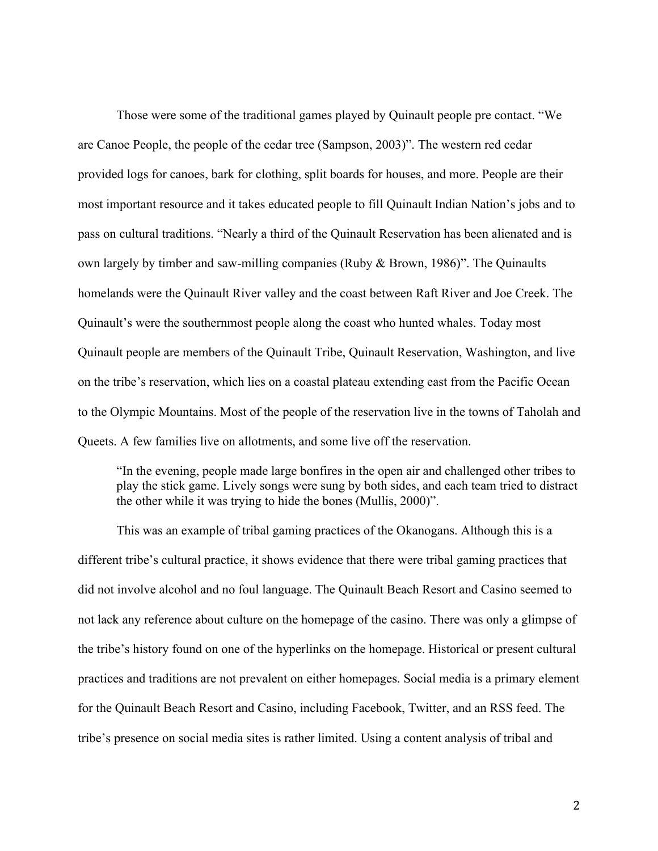Those were some of the traditional games played by Quinault people pre contact. "We are Canoe People, the people of the cedar tree (Sampson, 2003)". The western red cedar provided logs for canoes, bark for clothing, split boards for houses, and more. People are their most important resource and it takes educated people to fill Quinault Indian Nation's jobs and to pass on cultural traditions. "Nearly a third of the Quinault Reservation has been alienated and is own largely by timber and saw-milling companies (Ruby & Brown, 1986)". The Quinaults homelands were the Quinault River valley and the coast between Raft River and Joe Creek. The Quinault's were the southernmost people along the coast who hunted whales. Today most Quinault people are members of the Quinault Tribe, Quinault Reservation, Washington, and live on the tribe's reservation, which lies on a coastal plateau extending east from the Pacific Ocean to the Olympic Mountains. Most of the people of the reservation live in the towns of Taholah and Queets. A few families live on allotments, and some live off the reservation.

"In the evening, people made large bonfires in the open air and challenged other tribes to play the stick game. Lively songs were sung by both sides, and each team tried to distract the other while it was trying to hide the bones (Mullis, 2000)".

This was an example of tribal gaming practices of the Okanogans. Although this is a different tribe's cultural practice, it shows evidence that there were tribal gaming practices that did not involve alcohol and no foul language. The Quinault Beach Resort and Casino seemed to not lack any reference about culture on the homepage of the casino. There was only a glimpse of the tribe's history found on one of the hyperlinks on the homepage. Historical or present cultural practices and traditions are not prevalent on either homepages. Social media is a primary element for the Quinault Beach Resort and Casino, including Facebook, Twitter, and an RSS feed. The tribe's presence on social media sites is rather limited. Using a content analysis of tribal and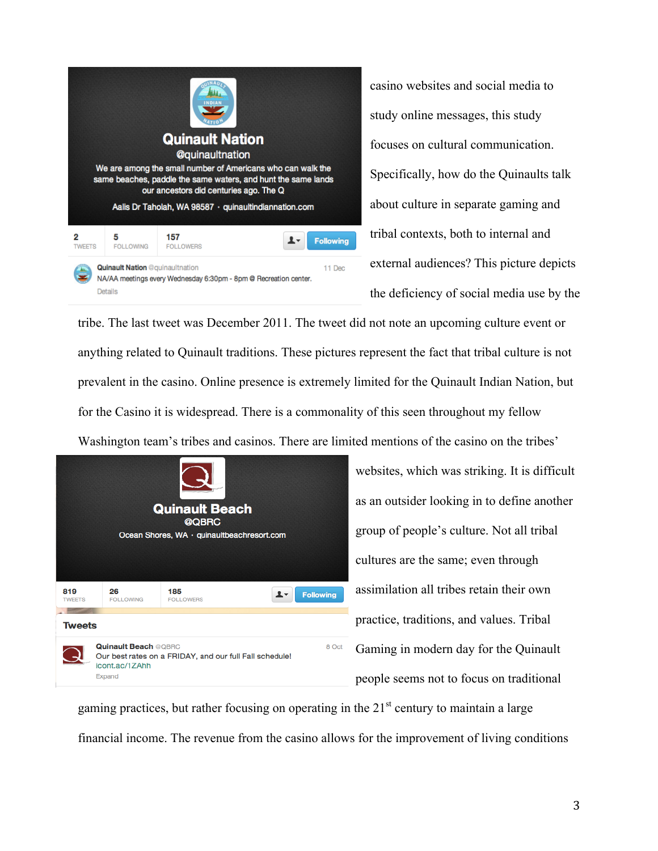

casino websites and social media to study online messages, this study focuses on cultural communication. Specifically, how do the Quinaults talk about culture in separate gaming and tribal contexts, both to internal and external audiences? This picture depicts the deficiency of social media use by the

tribe. The last tweet was December 2011. The tweet did not note an upcoming culture event or anything related to Quinault traditions. These pictures represent the fact that tribal culture is not prevalent in the casino. Online presence is extremely limited for the Quinault Indian Nation, but for the Casino it is widespread. There is a commonality of this seen throughout my fellow

Washington team's tribes and casinos. There are limited mentions of the casino on the tribes'



websites, which was striking. It is difficult as an outsider looking in to define another group of people's culture. Not all tribal cultures are the same; even through assimilation all tribes retain their own practice, traditions, and values. Tribal Gaming in modern day for the Quinault people seems not to focus on traditional

gaming practices, but rather focusing on operating in the  $21<sup>st</sup>$  century to maintain a large financial income. The revenue from the casino allows for the improvement of living conditions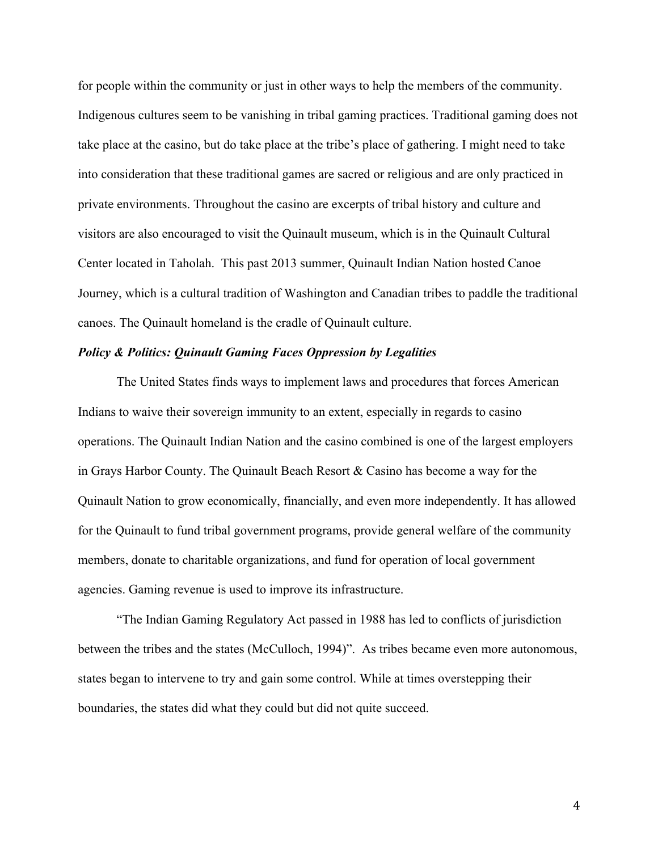for people within the community or just in other ways to help the members of the community. Indigenous cultures seem to be vanishing in tribal gaming practices. Traditional gaming does not take place at the casino, but do take place at the tribe's place of gathering. I might need to take into consideration that these traditional games are sacred or religious and are only practiced in private environments. Throughout the casino are excerpts of tribal history and culture and visitors are also encouraged to visit the Quinault museum, which is in the Quinault Cultural Center located in Taholah. This past 2013 summer, Quinault Indian Nation hosted Canoe Journey, which is a cultural tradition of Washington and Canadian tribes to paddle the traditional canoes. The Quinault homeland is the cradle of Quinault culture.

## *Policy & Politics: Quinault Gaming Faces Oppression by Legalities*

The United States finds ways to implement laws and procedures that forces American Indians to waive their sovereign immunity to an extent, especially in regards to casino operations. The Quinault Indian Nation and the casino combined is one of the largest employers in Grays Harbor County. The Quinault Beach Resort & Casino has become a way for the Quinault Nation to grow economically, financially, and even more independently. It has allowed for the Quinault to fund tribal government programs, provide general welfare of the community members, donate to charitable organizations, and fund for operation of local government agencies. Gaming revenue is used to improve its infrastructure.

"The Indian Gaming Regulatory Act passed in 1988 has led to conflicts of jurisdiction between the tribes and the states (McCulloch, 1994)". As tribes became even more autonomous, states began to intervene to try and gain some control. While at times overstepping their boundaries, the states did what they could but did not quite succeed.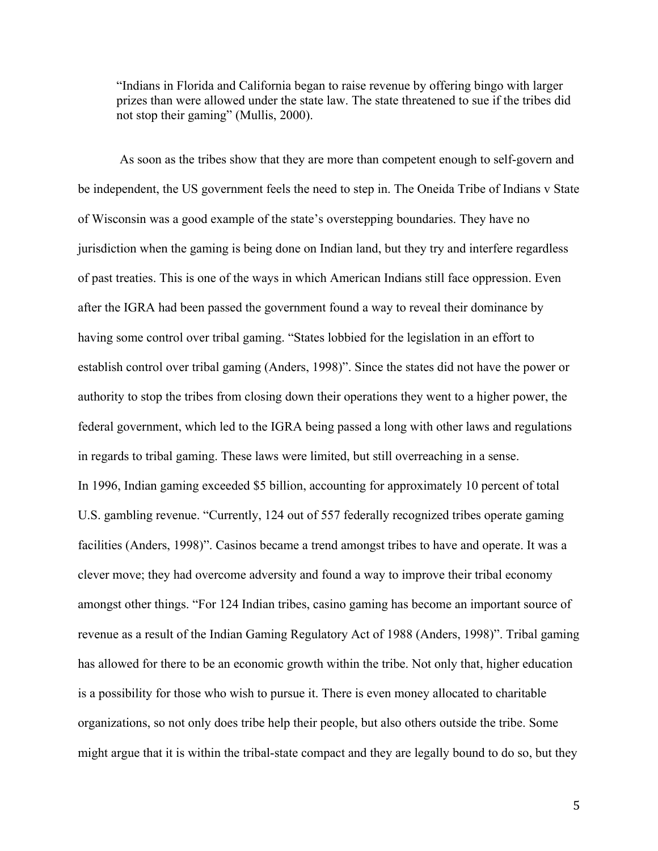"Indians in Florida and California began to raise revenue by offering bingo with larger prizes than were allowed under the state law. The state threatened to sue if the tribes did not stop their gaming" (Mullis, 2000).

As soon as the tribes show that they are more than competent enough to self-govern and be independent, the US government feels the need to step in. The Oneida Tribe of Indians v State of Wisconsin was a good example of the state's overstepping boundaries. They have no jurisdiction when the gaming is being done on Indian land, but they try and interfere regardless of past treaties. This is one of the ways in which American Indians still face oppression. Even after the IGRA had been passed the government found a way to reveal their dominance by having some control over tribal gaming. "States lobbied for the legislation in an effort to establish control over tribal gaming (Anders, 1998)". Since the states did not have the power or authority to stop the tribes from closing down their operations they went to a higher power, the federal government, which led to the IGRA being passed a long with other laws and regulations in regards to tribal gaming. These laws were limited, but still overreaching in a sense. In 1996, Indian gaming exceeded \$5 billion, accounting for approximately 10 percent of total U.S. gambling revenue. "Currently, 124 out of 557 federally recognized tribes operate gaming facilities (Anders, 1998)". Casinos became a trend amongst tribes to have and operate. It was a clever move; they had overcome adversity and found a way to improve their tribal economy amongst other things. "For 124 Indian tribes, casino gaming has become an important source of revenue as a result of the Indian Gaming Regulatory Act of 1988 (Anders, 1998)". Tribal gaming has allowed for there to be an economic growth within the tribe. Not only that, higher education is a possibility for those who wish to pursue it. There is even money allocated to charitable organizations, so not only does tribe help their people, but also others outside the tribe. Some might argue that it is within the tribal-state compact and they are legally bound to do so, but they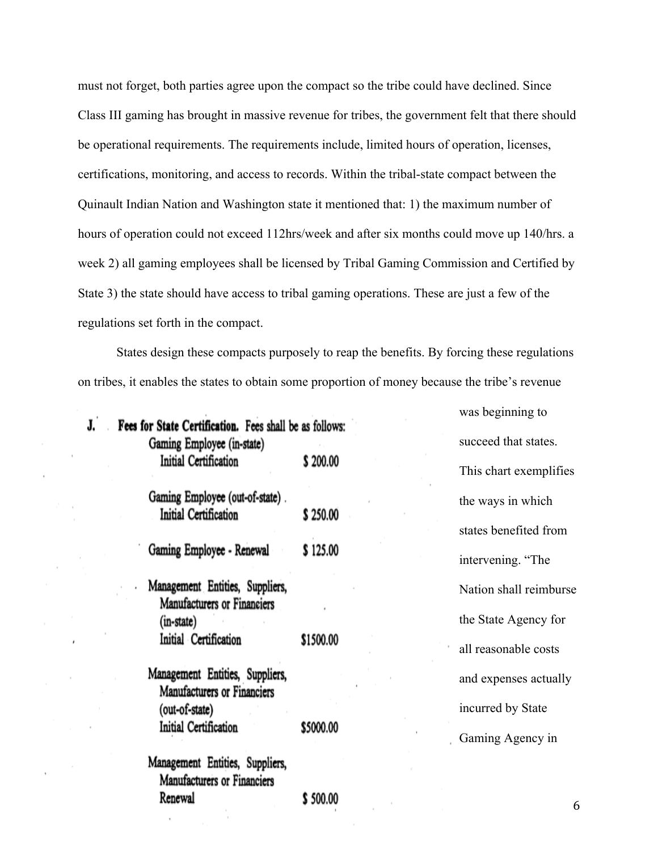must not forget, both parties agree upon the compact so the tribe could have declined. Since Class III gaming has brought in massive revenue for tribes, the government felt that there should be operational requirements. The requirements include, limited hours of operation, licenses, certifications, monitoring, and access to records. Within the tribal-state compact between the Quinault Indian Nation and Washington state it mentioned that: 1) the maximum number of hours of operation could not exceed 112hrs/week and after six months could move up 140/hrs. a week 2) all gaming employees shall be licensed by Tribal Gaming Commission and Certified by State 3) the state should have access to tribal gaming operations. These are just a few of the regulations set forth in the compact.

States design these compacts purposely to reap the benefits. By forcing these regulations on tribes, it enables the states to obtain some proportion of money because the tribe's revenue

|                                                                                       |           | was beginning to    |
|---------------------------------------------------------------------------------------|-----------|---------------------|
| Fees for State Certification. Fees shall be as follows:<br>Gaming Employee (in-state) |           | succeed that state  |
| Initial Certification                                                                 | \$200.00  | This chart exempl   |
| Gaming Employee (out-of-state).                                                       |           | the ways in which   |
| Initial Certification                                                                 | \$250.00  | states benefited fr |
| Gaming Employee - Renewal                                                             | \$125.00  | intervening. "The   |
| Management Entities, Suppliers,                                                       |           | Nation shall reiml  |
| Manufacturers or Financiers<br>(in-state)                                             |           | the State Agency    |
| Initial Certification                                                                 | \$1500.00 | all reasonable cos  |
| Management Entities, Suppliers,<br>Manufacturers or Financiers                        |           | and expenses actu   |
| (out-of-state)                                                                        |           | incurred by State   |
| Initial Certification                                                                 | \$5000.00 | Gaming Agency i     |
| Management Entities, Suppliers,<br>Manufacturers or Financiers                        |           |                     |
| Renewal                                                                               | \$500.00  |                     |
|                                                                                       |           |                     |

hat states. t exemplifies in which efited from ig. "The all reimburse Agency for able costs nses actually by State Agency in

6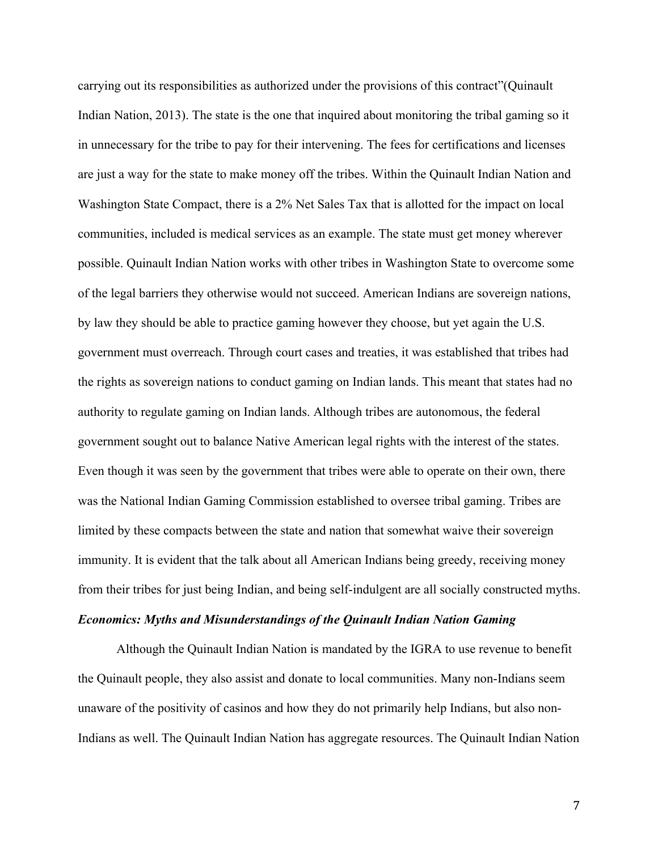carrying out its responsibilities as authorized under the provisions of this contract"(Quinault Indian Nation, 2013). The state is the one that inquired about monitoring the tribal gaming so it in unnecessary for the tribe to pay for their intervening. The fees for certifications and licenses are just a way for the state to make money off the tribes. Within the Quinault Indian Nation and Washington State Compact, there is a 2% Net Sales Tax that is allotted for the impact on local communities, included is medical services as an example. The state must get money wherever possible. Quinault Indian Nation works with other tribes in Washington State to overcome some of the legal barriers they otherwise would not succeed. American Indians are sovereign nations, by law they should be able to practice gaming however they choose, but yet again the U.S. government must overreach. Through court cases and treaties, it was established that tribes had the rights as sovereign nations to conduct gaming on Indian lands. This meant that states had no authority to regulate gaming on Indian lands. Although tribes are autonomous, the federal government sought out to balance Native American legal rights with the interest of the states. Even though it was seen by the government that tribes were able to operate on their own, there was the National Indian Gaming Commission established to oversee tribal gaming. Tribes are limited by these compacts between the state and nation that somewhat waive their sovereign immunity. It is evident that the talk about all American Indians being greedy, receiving money from their tribes for just being Indian, and being self-indulgent are all socially constructed myths.

## *Economics: Myths and Misunderstandings of the Quinault Indian Nation Gaming*

Although the Quinault Indian Nation is mandated by the IGRA to use revenue to benefit the Quinault people, they also assist and donate to local communities. Many non-Indians seem unaware of the positivity of casinos and how they do not primarily help Indians, but also non-Indians as well. The Quinault Indian Nation has aggregate resources. The Quinault Indian Nation

7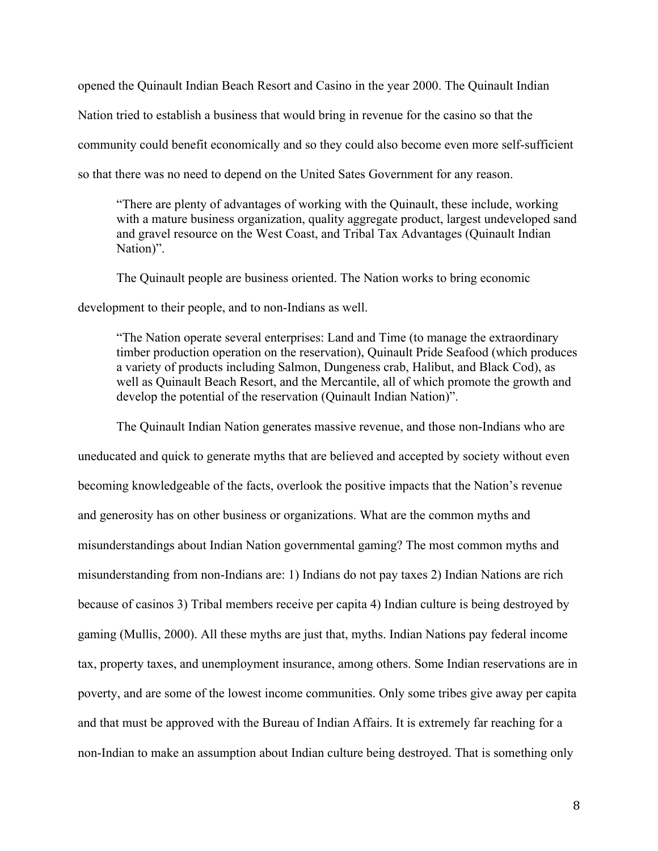opened the Quinault Indian Beach Resort and Casino in the year 2000. The Quinault Indian Nation tried to establish a business that would bring in revenue for the casino so that the community could benefit economically and so they could also become even more self-sufficient so that there was no need to depend on the United Sates Government for any reason.

"There are plenty of advantages of working with the Quinault, these include, working with a mature business organization, quality aggregate product, largest undeveloped sand and gravel resource on the West Coast, and Tribal Tax Advantages (Quinault Indian Nation)".

The Quinault people are business oriented. The Nation works to bring economic

development to their people, and to non-Indians as well.

"The Nation operate several enterprises: Land and Time (to manage the extraordinary timber production operation on the reservation), Quinault Pride Seafood (which produces a variety of products including Salmon, Dungeness crab, Halibut, and Black Cod), as well as Quinault Beach Resort, and the Mercantile, all of which promote the growth and develop the potential of the reservation (Quinault Indian Nation)".

The Quinault Indian Nation generates massive revenue, and those non-Indians who are uneducated and quick to generate myths that are believed and accepted by society without even becoming knowledgeable of the facts, overlook the positive impacts that the Nation's revenue and generosity has on other business or organizations. What are the common myths and misunderstandings about Indian Nation governmental gaming? The most common myths and misunderstanding from non-Indians are: 1) Indians do not pay taxes 2) Indian Nations are rich because of casinos 3) Tribal members receive per capita 4) Indian culture is being destroyed by gaming (Mullis, 2000). All these myths are just that, myths. Indian Nations pay federal income tax, property taxes, and unemployment insurance, among others. Some Indian reservations are in poverty, and are some of the lowest income communities. Only some tribes give away per capita and that must be approved with the Bureau of Indian Affairs. It is extremely far reaching for a non-Indian to make an assumption about Indian culture being destroyed. That is something only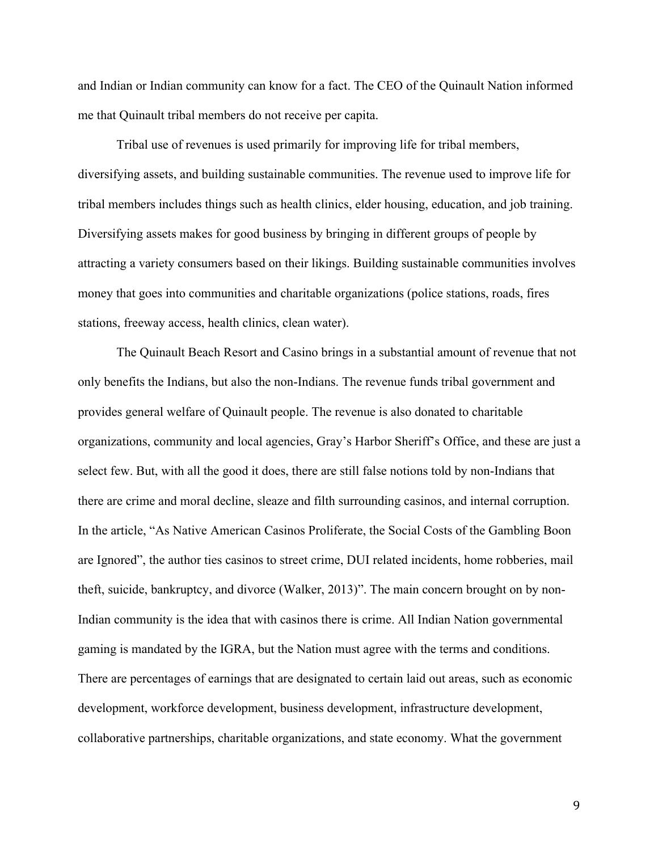and Indian or Indian community can know for a fact. The CEO of the Quinault Nation informed me that Quinault tribal members do not receive per capita.

Tribal use of revenues is used primarily for improving life for tribal members, diversifying assets, and building sustainable communities. The revenue used to improve life for tribal members includes things such as health clinics, elder housing, education, and job training. Diversifying assets makes for good business by bringing in different groups of people by attracting a variety consumers based on their likings. Building sustainable communities involves money that goes into communities and charitable organizations (police stations, roads, fires stations, freeway access, health clinics, clean water).

The Quinault Beach Resort and Casino brings in a substantial amount of revenue that not only benefits the Indians, but also the non-Indians. The revenue funds tribal government and provides general welfare of Quinault people. The revenue is also donated to charitable organizations, community and local agencies, Gray's Harbor Sheriff's Office, and these are just a select few. But, with all the good it does, there are still false notions told by non-Indians that there are crime and moral decline, sleaze and filth surrounding casinos, and internal corruption. In the article, "As Native American Casinos Proliferate, the Social Costs of the Gambling Boon are Ignored", the author ties casinos to street crime, DUI related incidents, home robberies, mail theft, suicide, bankruptcy, and divorce (Walker, 2013)". The main concern brought on by non-Indian community is the idea that with casinos there is crime. All Indian Nation governmental gaming is mandated by the IGRA, but the Nation must agree with the terms and conditions. There are percentages of earnings that are designated to certain laid out areas, such as economic development, workforce development, business development, infrastructure development, collaborative partnerships, charitable organizations, and state economy. What the government

9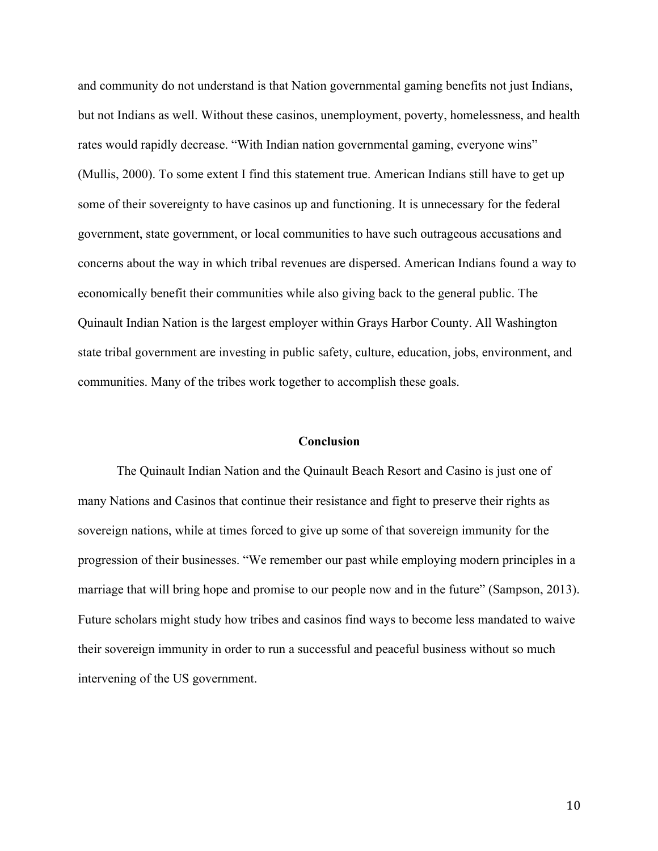and community do not understand is that Nation governmental gaming benefits not just Indians, but not Indians as well. Without these casinos, unemployment, poverty, homelessness, and health rates would rapidly decrease. "With Indian nation governmental gaming, everyone wins" (Mullis, 2000). To some extent I find this statement true. American Indians still have to get up some of their sovereignty to have casinos up and functioning. It is unnecessary for the federal government, state government, or local communities to have such outrageous accusations and concerns about the way in which tribal revenues are dispersed. American Indians found a way to economically benefit their communities while also giving back to the general public. The Quinault Indian Nation is the largest employer within Grays Harbor County. All Washington state tribal government are investing in public safety, culture, education, jobs, environment, and communities. Many of the tribes work together to accomplish these goals.

#### **Conclusion**

The Quinault Indian Nation and the Quinault Beach Resort and Casino is just one of many Nations and Casinos that continue their resistance and fight to preserve their rights as sovereign nations, while at times forced to give up some of that sovereign immunity for the progression of their businesses. "We remember our past while employing modern principles in a marriage that will bring hope and promise to our people now and in the future" (Sampson, 2013). Future scholars might study how tribes and casinos find ways to become less mandated to waive their sovereign immunity in order to run a successful and peaceful business without so much intervening of the US government.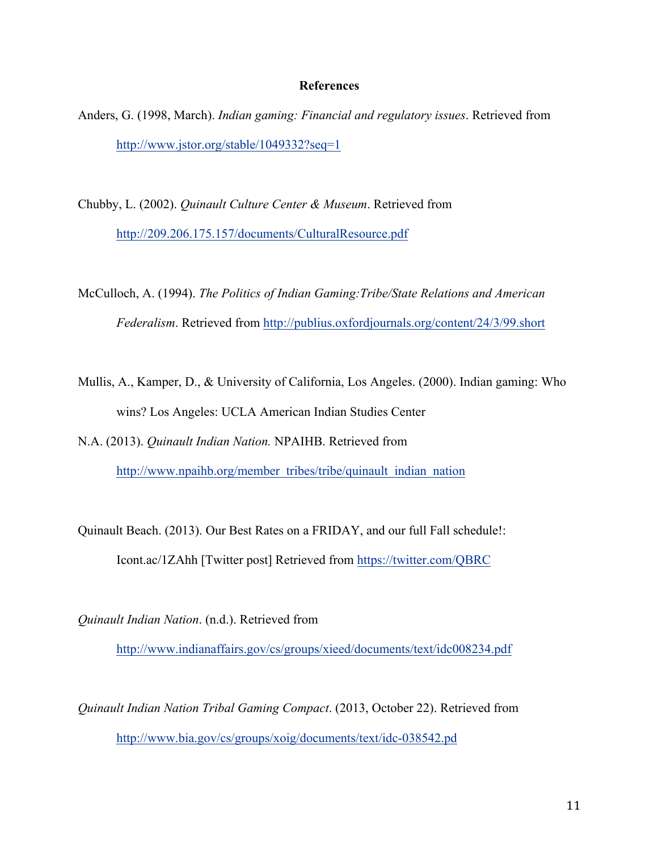### **References**

- Anders, G. (1998, March). *Indian gaming: Financial and regulatory issues*. Retrieved from http://www.jstor.org/stable/1049332?seq=1
- Chubby, L. (2002). *Quinault Culture Center & Museum*. Retrieved from http://209.206.175.157/documents/CulturalResource.pdf
- McCulloch, A. (1994). *The Politics of Indian Gaming:Tribe/State Relations and American Federalism*. Retrieved from http://publius.oxfordjournals.org/content/24/3/99.short
- Mullis, A., Kamper, D., & University of California, Los Angeles. (2000). Indian gaming: Who wins? Los Angeles: UCLA American Indian Studies Center
- N.A. (2013). *Quinault Indian Nation.* NPAIHB. Retrieved from http://www.npaihb.org/member\_tribes/tribe/quinault\_indian\_nation
- Quinault Beach. (2013). Our Best Rates on a FRIDAY, and our full Fall schedule!: Icont.ac/1ZAhh [Twitter post] Retrieved from https://twitter.com/QBRC
- *Quinault Indian Nation*. (n.d.). Retrieved from http://www.indianaffairs.gov/cs/groups/xieed/documents/text/idc008234.pdf

*Quinault Indian Nation Tribal Gaming Compact*. (2013, October 22). Retrieved from http://www.bia.gov/cs/groups/xoig/documents/text/idc-038542.pd